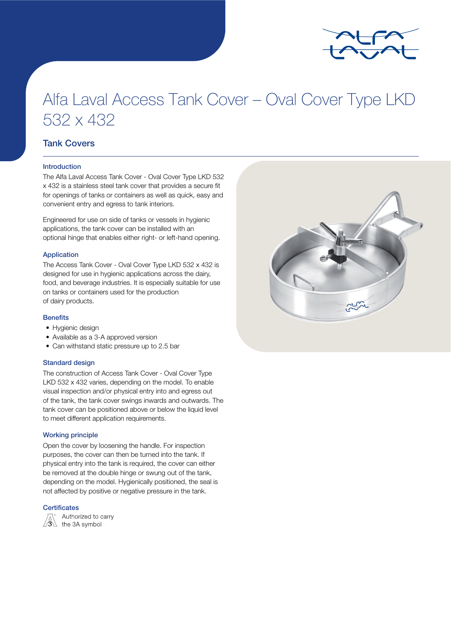

# Alfa Laval Access Tank Cover – Oval Cover Type LKD 532 x 432

## Tank Covers

#### Introduction

The Alfa Laval Access Tank Cover - Oval Cover Type LKD 532 x 432 is a stainless steel tank cover that provides a secure fit for openings of tanks or containers as well as quick, easy and convenient entry and egress to tank interiors.

Engineered for use on side of tanks or vessels in hygienic applications, the tank cover can be installed with an optional hinge that enables either right- or left-hand opening.

#### Application

The Access Tank Cover - Oval Cover Type LKD 532 x 432 is designed for use in hygienic applications across the dairy, food, and beverage industries. It is especially suitable for use on tanks or containers used for the production of dairy products.

#### **Benefits**

- Hygienic design
- Available as a 3-A approved version
- Can withstand static pressure up to 2.5 bar

#### Standard design

The construction of Access Tank Cover - Oval Cover Type LKD 532 x 432 varies, depending on the model. To enable visual inspection and/or physical entry into and egress out of the tank, the tank cover swings inwards and outwards. The tank cover can be positioned above or below the liquid level to meet different application requirements.

#### Working principle

Open the cover by loosening the handle. For inspection purposes, the cover can then be turned into the tank. If physical entry into the tank is required, the cover can either be removed at the double hinge or swung out of the tank, depending on the model. Hygienically positioned, the seal is not affected by positive or negative pressure in the tank.

#### **Certificates**



Authorized to carry  $\sqrt{\overset{\wedge}{3}}\overset{\wedge}{\longrightarrow}$  the 3A symbol

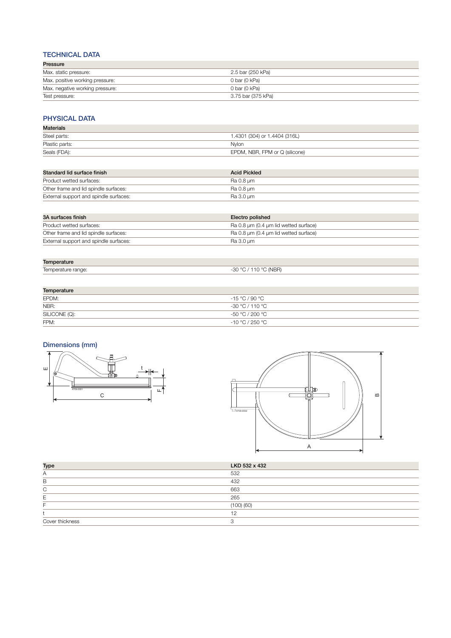### TECHNICAL DATA

| Pressure                        |                    |
|---------------------------------|--------------------|
| Max. static pressure:           | 2.5 bar (250 kPa)  |
| Max. positive working pressure: | 0 bar (0 kPa)      |
| Max. negative working pressure: | 0 bar (0 kPa)      |
| Test pressure:                  | 3.75 bar (375 kPa) |

## PHYSICAL DATA

| <b>Materials</b> |                                |
|------------------|--------------------------------|
| Steel parts:     | 1.4301 (304) or 1.4404 (316L)  |
| Plastic parts:   | Nvlon                          |
| Seals (FDA):     | EPDM, NBR, FPM or Q (silicone) |

| Standard lid surface finish            | <b>Acid Pickled</b> |
|----------------------------------------|---------------------|
| Product wetted surfaces:               | Ra 0.8 um           |
| Other frame and lid spindle surfaces:  | Ra 0.8 um           |
| External support and spindle surfaces: | Ra 3.0 µm           |

| 3A surfaces finish                     | Electro polished                      |
|----------------------------------------|---------------------------------------|
| Product wetted surfaces:               | Ra 0.8 um (0.4 um lid wetted surface) |
| Other frame and lid spindle surfaces:  | Ra 0.8 um (0.4 um lid wetted surface) |
| External support and spindle surfaces: | Ra 3.0 um                             |

| mnerature                              |                                |
|----------------------------------------|--------------------------------|
| -<br>"Competature race"<br>range<br>שו | : (NRR<br>טט <sup>.</sup><br>ູ |
|                                        |                                |

| Temperature   |                  |  |
|---------------|------------------|--|
| EPDM:         | $-15 °C / 90 °C$ |  |
| NBR:          | -30 °C / 110 °C  |  |
| SILICONE (Q): | -50 °C / 200 °C  |  |
| FPM:          | -10 °C / 250 °C  |  |

# Dimensions (mm)





| <b>Type</b>     | LKD 532 x 432 |
|-----------------|---------------|
| Α               | 532           |
| B               | 432           |
| ⌒               | 663           |
|                 | 265           |
|                 | (100)(60)     |
|                 |               |
| Cover thickness |               |